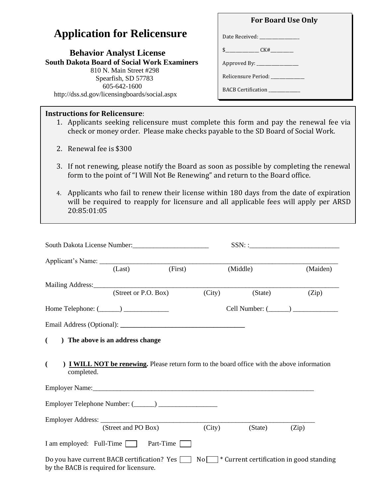## **Application for Relicensure**

| <b>Behavior Analyst License</b>                    |  |  |  |  |  |
|----------------------------------------------------|--|--|--|--|--|
| <b>South Dakota Board of Social Work Examiners</b> |  |  |  |  |  |
| 810 N. Main Street #298                            |  |  |  |  |  |
| Spearfish, SD 57783                                |  |  |  |  |  |
| $605 - 642 - 1600$                                 |  |  |  |  |  |
| http://dss.sd.gov/licensingboards/social.aspx      |  |  |  |  |  |

## **Instructions for Relicensure**:

Date Received: \_\_\_\_\_\_\_\_\_\_\_\_\_\_\_\_\_\_\_ \$\_\_\_\_\_\_\_\_\_\_\_\_\_\_\_\_ CK#\_\_\_\_\_\_\_\_\_\_\_ Approved By: \_\_\_\_\_\_\_\_\_\_\_\_\_\_\_\_\_\_\_\_ Relicensure Period: \_\_\_\_\_\_\_\_\_\_\_\_\_\_\_\_ BACB Certification \_\_\_\_\_\_\_\_\_\_\_\_\_\_\_

**For Board Use Only**

- 1. Applicants seeking relicensure must complete this form and pay the renewal fee via check or money order. Please make checks payable to the SD Board of Social Work.
- 2. Renewal fee is \$300
- 3. If not renewing, please notify the Board as soon as possible by completing the renewal form to the point of "I Will Not Be Renewing" and return to the Board office.
- 4. Applicants who fail to renew their license within 180 days from the date of expiration will be required to reapply for licensure and all applicable fees will apply per ARSD 20:85:01:05

|                                        | South Dakota License Number:<br><u> </u>                                                    |        |                                               |                       |
|----------------------------------------|---------------------------------------------------------------------------------------------|--------|-----------------------------------------------|-----------------------|
|                                        | (First)<br>(Last)                                                                           |        | (Middle)                                      | (Maiden)              |
|                                        |                                                                                             |        |                                               |                       |
|                                        | (Street or P.O. Box)                                                                        |        | (City)<br>(State)                             | (Zip)                 |
|                                        | Home Telephone: (______) ________________                                                   |        |                                               | Cell Number: $(\_\_)$ |
|                                        |                                                                                             |        |                                               |                       |
| $\left($                               | ) The above is an address change                                                            |        |                                               |                       |
| $\overline{(\cdot)}$<br>completed.     | ) I WILL NOT be renewing. Please return form to the board office with the above information |        |                                               |                       |
|                                        |                                                                                             |        |                                               |                       |
|                                        |                                                                                             |        |                                               |                       |
|                                        | (Street and PO Box)                                                                         | (City) | (State)                                       | (Zip)                 |
|                                        | I am employed: Full-Time T Part-Time T                                                      |        |                                               |                       |
| by the BACB is required for licensure. | Do you have current BACB certification? Yes                                                 |        | $No$ * Current certification in good standing |                       |